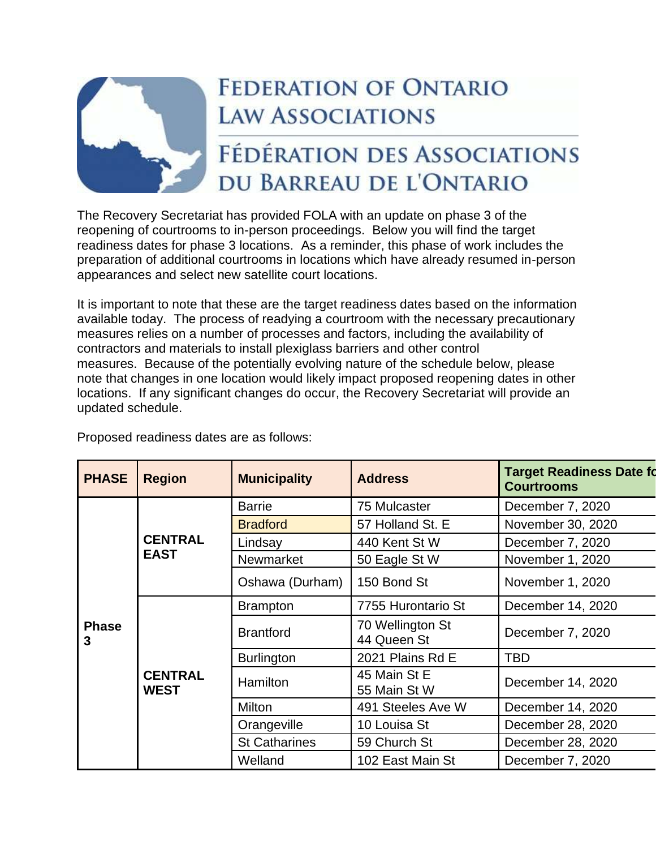

## **FEDERATION OF ONTARIO LAW ASSOCIATIONS**

## FÉDÉRATION DES ASSOCIATIONS DU BARREAU DE L'ONTARIO

The Recovery Secretariat has provided FOLA with an update on phase 3 of the reopening of courtrooms to in-person proceedings. Below you will find the target readiness dates for phase 3 locations. As a reminder, this phase of work includes the preparation of additional courtrooms in locations which have already resumed in-person appearances and select new satellite court locations.

It is important to note that these are the target readiness dates based on the information available today. The process of readying a courtroom with the necessary precautionary measures relies on a number of processes and factors, including the availability of contractors and materials to install plexiglass barriers and other control measures. Because of the potentially evolving nature of the schedule below, please note that changes in one location would likely impact proposed reopening dates in other locations. If any significant changes do occur, the Recovery Secretariat will provide an updated schedule.

| <b>PHASE</b>      | <b>Region</b>                 | <b>Municipality</b>  | <b>Address</b>                  | <b>Target Readiness Date fo</b><br><b>Courtrooms</b> |
|-------------------|-------------------------------|----------------------|---------------------------------|------------------------------------------------------|
| <b>Phase</b><br>3 | <b>CENTRAL</b><br><b>EAST</b> | <b>Barrie</b>        | 75 Mulcaster                    | December 7, 2020                                     |
|                   |                               | <b>Bradford</b>      | 57 Holland St. E                | November 30, 2020                                    |
|                   |                               | Lindsay              | 440 Kent St W                   | December 7, 2020                                     |
|                   |                               | Newmarket            | 50 Eagle St W                   | November 1, 2020                                     |
|                   |                               | Oshawa (Durham)      | 150 Bond St                     | November 1, 2020                                     |
|                   | <b>CENTRAL</b><br><b>WEST</b> | <b>Brampton</b>      | 7755 Hurontario St              | December 14, 2020                                    |
|                   |                               | <b>Brantford</b>     | 70 Wellington St<br>44 Queen St | December 7, 2020                                     |
|                   |                               | <b>Burlington</b>    | 2021 Plains Rd E                | TBD                                                  |
|                   |                               | <b>Hamilton</b>      | 45 Main St E<br>55 Main St W    | December 14, 2020                                    |
|                   |                               | <b>Milton</b>        | 491 Steeles Ave W               | December 14, 2020                                    |
|                   |                               | Orangeville          | 10 Louisa St                    | December 28, 2020                                    |
|                   |                               | <b>St Catharines</b> | 59 Church St                    | December 28, 2020                                    |
|                   |                               | Welland              | 102 East Main St                | December 7, 2020                                     |

Proposed readiness dates are as follows: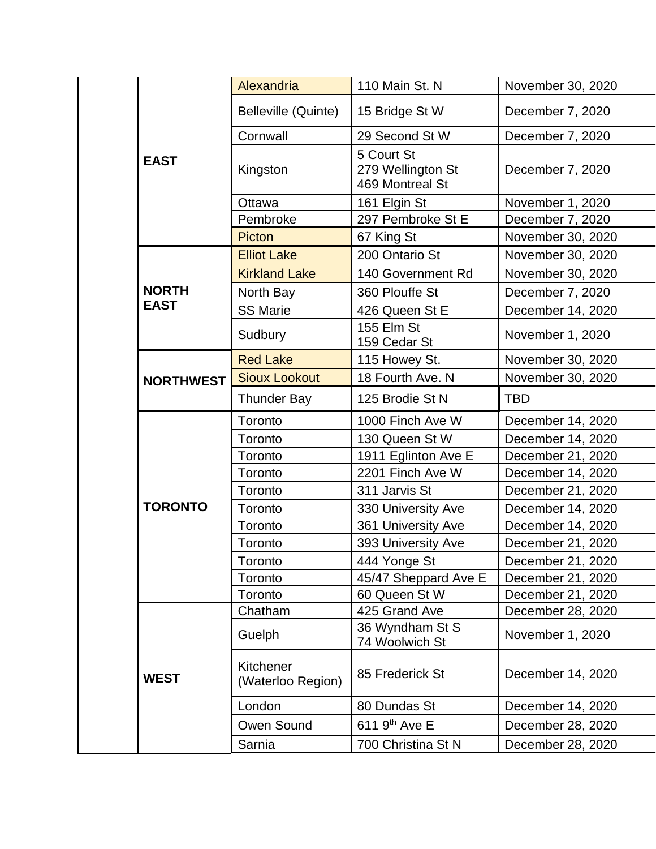|                  | Alexandria                     | 110 Main St. N                                     | November 30, 2020 |  |
|------------------|--------------------------------|----------------------------------------------------|-------------------|--|
|                  | Belleville (Quinte)            | 15 Bridge St W                                     | December 7, 2020  |  |
|                  | Cornwall                       | 29 Second St W                                     | December 7, 2020  |  |
| <b>EAST</b>      | Kingston                       | 5 Court St<br>279 Wellington St<br>469 Montreal St | December 7, 2020  |  |
|                  | Ottawa                         | 161 Elgin St                                       | November 1, 2020  |  |
|                  | Pembroke                       | 297 Pembroke St E                                  | December 7, 2020  |  |
|                  | <b>Picton</b>                  | 67 King St                                         | November 30, 2020 |  |
|                  | <b>Elliot Lake</b>             | 200 Ontario St                                     | November 30, 2020 |  |
|                  | <b>Kirkland Lake</b>           | 140 Government Rd                                  | November 30, 2020 |  |
| <b>NORTH</b>     | North Bay                      | 360 Plouffe St                                     | December 7, 2020  |  |
| <b>EAST</b>      | <b>SS Marie</b>                | 426 Queen St E                                     | December 14, 2020 |  |
|                  | Sudbury                        | 155 Elm St<br>159 Cedar St                         | November 1, 2020  |  |
|                  | <b>Red Lake</b>                | 115 Howey St.                                      | November 30, 2020 |  |
| <b>NORTHWEST</b> | <b>Sioux Lookout</b>           | 18 Fourth Ave. N                                   | November 30, 2020 |  |
|                  | <b>Thunder Bay</b>             | 125 Brodie St N                                    | <b>TBD</b>        |  |
|                  | Toronto                        | 1000 Finch Ave W                                   | December 14, 2020 |  |
|                  | Toronto                        | 130 Queen St W                                     | December 14, 2020 |  |
|                  | Toronto                        | 1911 Eglinton Ave E                                | December 21, 2020 |  |
|                  | Toronto                        | 2201 Finch Ave W                                   | December 14, 2020 |  |
|                  | Toronto                        | 311 Jarvis St                                      | December 21, 2020 |  |
| <b>TORONTO</b>   | Toronto                        | 330 University Ave                                 | December 14, 2020 |  |
|                  | Toronto                        | 361 University Ave                                 | December 14, 2020 |  |
|                  | Toronto                        | 393 University Ave                                 | December 21, 2020 |  |
|                  | Toronto                        | 444 Yonge St                                       | December 21, 2020 |  |
|                  | Toronto                        | 45/47 Sheppard Ave E                               | December 21, 2020 |  |
|                  | Toronto                        | 60 Queen St W                                      | December 21, 2020 |  |
|                  | Chatham                        | 425 Grand Ave                                      | December 28, 2020 |  |
|                  | Guelph                         | 36 Wyndham St S<br>74 Woolwich St                  | November 1, 2020  |  |
| <b>WEST</b>      | Kitchener<br>(Waterloo Region) | 85 Frederick St                                    | December 14, 2020 |  |
|                  | London                         | 80 Dundas St                                       | December 14, 2020 |  |
|                  | Owen Sound                     | 611 9 <sup>th</sup> Ave E                          | December 28, 2020 |  |
|                  | Sarnia                         | 700 Christina St N                                 | December 28, 2020 |  |